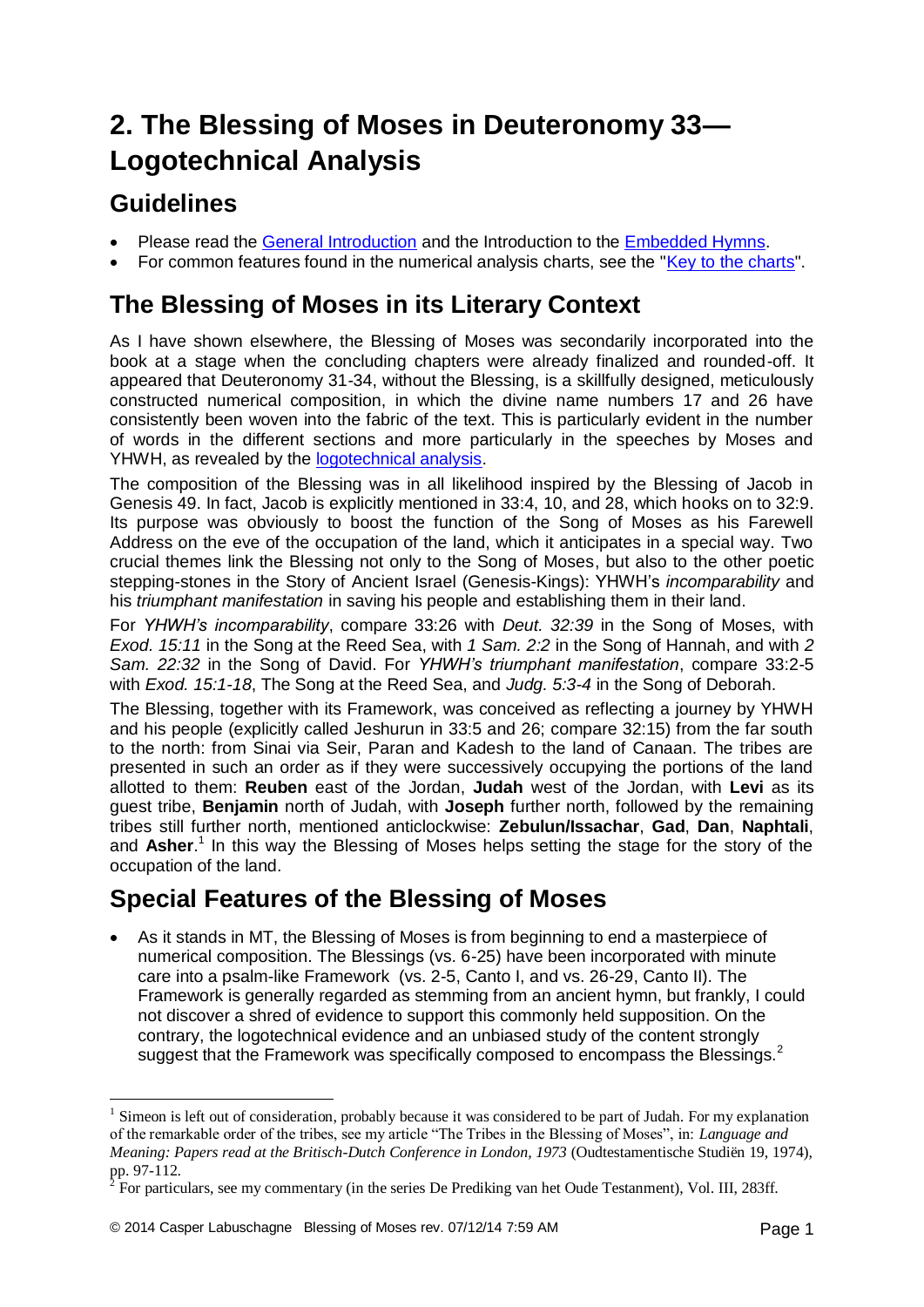# **2. The Blessing of Moses in Deuteronomy 33— Logotechnical Analysis**

#### **Guidelines**

1

- Please read the [General Introduction](http://www.labuschagne.nl/aspects.pdf) and the Introduction to the **Embedded Hymns**.
- For common features found in the numerical analysis charts, see the ["Key to the charts"](http://www.labuschagne.nl/keytocharts.pdf).

### **The Blessing of Moses in its Literary Context**

As I have shown elsewhere, the Blessing of Moses was secondarily incorporated into the book at a stage when the concluding chapters were already finalized and rounded-off. It appeared that Deuteronomy 31-34, without the Blessing, is a skillfully designed, meticulously constructed numerical composition, in which the divine name numbers 17 and 26 have consistently been woven into the fabric of the text. This is particularly evident in the number of words in the different sections and more particularly in the speeches by Moses and YHWH, as revealed by the [logotechnical analysis.](http://www.labuschagne.nl/2a.deut32.pdf)

The composition of the Blessing was in all likelihood inspired by the Blessing of Jacob in Genesis 49. In fact, Jacob is explicitly mentioned in 33:4, 10, and 28, which hooks on to 32:9. Its purpose was obviously to boost the function of the Song of Moses as his Farewell Address on the eve of the occupation of the land, which it anticipates in a special way. Two crucial themes link the Blessing not only to the Song of Moses, but also to the other poetic stepping-stones in the Story of Ancient Israel (Genesis-Kings): YHWH's *incomparability* and his *triumphant manifestation* in saving his people and establishing them in their land.

For *YHWH's incomparability*, compare 33:26 with *Deut. 32:39* in the Song of Moses, with *Exod. 15:11* in the Song at the Reed Sea, with *1 Sam. 2:2* in the Song of Hannah, and with *2 Sam. 22:32* in the Song of David. For *YHWH's triumphant manifestation*, compare 33:2-5 with *Exod. 15:1-18*, The Song at the Reed Sea, and *Judg. 5:3-4* in the Song of Deborah.

The Blessing, together with its Framework, was conceived as reflecting a journey by YHWH and his people (explicitly called Jeshurun in 33:5 and 26; compare 32:15) from the far south to the north: from Sinai via Seir, Paran and Kadesh to the land of Canaan. The tribes are presented in such an order as if they were successively occupying the portions of the land allotted to them: **Reuben** east of the Jordan, **Judah** west of the Jordan, with **Levi** as its guest tribe, **Benjamin** north of Judah, with **Joseph** further north, followed by the remaining tribes still further north, mentioned anticlockwise: **Zebulun/Issachar**, **Gad**, **Dan**, **Naphtali**, and **Asher**. 1 In this way the Blessing of Moses helps setting the stage for the story of the occupation of the land.

### **Special Features of the Blessing of Moses**

 As it stands in MT, the Blessing of Moses is from beginning to end a masterpiece of numerical composition. The Blessings (vs. 6-25) have been incorporated with minute care into a psalm-like Framework (vs. 2-5, Canto I, and vs. 26-29, Canto II). The Framework is generally regarded as stemming from an ancient hymn, but frankly, I could not discover a shred of evidence to support this commonly held supposition. On the contrary, the logotechnical evidence and an unbiased study of the content strongly suggest that the Framework was specifically composed to encompass the Blessings.<sup>2</sup>

 $1$  Simeon is left out of consideration, probably because it was considered to be part of Judah. For my explanation of the remarkable order of the tribes, see my article "The Tribes in the Blessing of Moses", in: *Language and Meaning: Papers read at the Britisch-Dutch Conference in London, 1973* (Oudtestamentische Studiën 19, 1974), pp. 97-112.

<sup>&</sup>lt;sup>2</sup> For particulars, see my commentary (in the series De Prediking van het Oude Testanment), Vol. III, 283ff.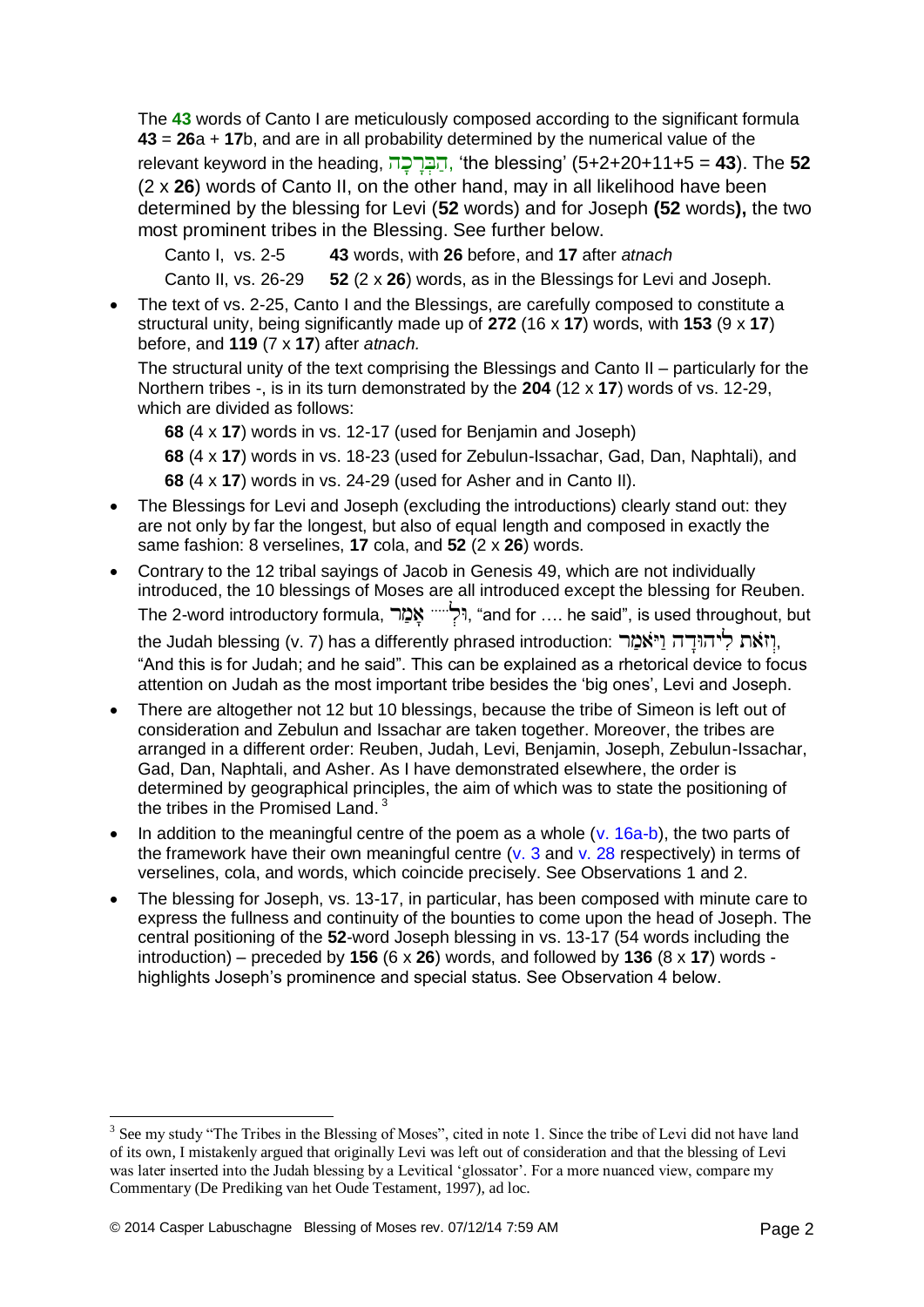The **43** words of Canto I are meticulously composed according to the significant formula **43** = **26**a + **17**b, and are in all probability determined by the numerical value of the relevant keyword in the heading, , 'the blessing' (5+2+20+11+5 = **43**). The **52** (2 x **26**) words of Canto II, on the other hand, may in all likelihood have been determined by the blessing for Levi (**52** words) and for Joseph **(52** words**),** the two most prominent tribes in the Blessing. See further below.

Canto I, vs. 2-5 **43** words, with **26** before, and **17** after *atnach*

Canto II, vs. 26-29 **52** (2 x **26**) words, as in the Blessings for Levi and Joseph.

 The text of vs. 2-25, Canto I and the Blessings, are carefully composed to constitute a structural unity, being significantly made up of **272** (16 x **17**) words, with **153** (9 x **17**) before, and **119** (7 x **17**) after *atnach.*

The structural unity of the text comprising the Blessings and Canto II – particularly for the Northern tribes -, is in its turn demonstrated by the **204** (12 x **17**) words of vs. 12-29, which are divided as follows:

**68** (4 x **17**) words in vs. 12-17 (used for Benjamin and Joseph)

**68** (4 x **17**) words in vs. 18-23 (used for Zebulun-Issachar, Gad, Dan, Naphtali), and

**68** (4 x **17**) words in vs. 24-29 (used for Asher and in Canto II).

- The Blessings for Levi and Joseph (excluding the introductions) clearly stand out: they are not only by far the longest, but also of equal length and composed in exactly the same fashion: 8 verselines, **17** cola, and **52** (2 x **26**) words.
- Contrary to the 12 tribal sayings of Jacob in Genesis 49, which are not individually introduced, the 10 blessings of Moses are all introduced except the blessing for Reuben. The 2-word introductory formula, , "and for …. he said", is used throughout, but

the Judah blessing (v. 7) has a differently phrased introduction: יְוֹאת לְיהוּדָה וַיּאמַר "And this is for Judah; and he said". This can be explained as a rhetorical device to focus attention on Judah as the most important tribe besides the 'big ones', Levi and Joseph.

- There are altogether not 12 but 10 blessings, because the tribe of Simeon is left out of consideration and Zebulun and Issachar are taken together. Moreover, the tribes are arranged in a different order: Reuben, Judah, Levi, Benjamin, Joseph, Zebulun-Issachar, Gad, Dan, Naphtali, and Asher. As I have demonstrated elsewhere, the order is determined by geographical principles, the aim of which was to state the positioning of the tribes in the Promised Land. <sup>3</sup>
- In addition to the meaningful centre of the poem as a whole  $(v. 16a-b)$ , the two parts of the framework have their own meaningful centre ( $v$ , 3 and  $v$ , 28 respectively) in terms of verselines, cola, and words, which coincide precisely. See Observations 1 and 2.
- The blessing for Joseph, vs. 13-17, in particular, has been composed with minute care to express the fullness and continuity of the bounties to come upon the head of Joseph. The central positioning of the **52**-word Joseph blessing in vs. 13-17 (54 words including the introduction) – preceded by **156** (6 x **26**) words, and followed by **136** (8 x **17**) words highlights Joseph's prominence and special status. See Observation 4 below.

<sup>&</sup>lt;sup>3</sup> See my study "The Tribes in the Blessing of Moses", cited in note 1. Since the tribe of Levi did not have land of its own, I mistakenly argued that originally Levi was left out of consideration and that the blessing of Levi was later inserted into the Judah blessing by a Levitical 'glossator'. For a more nuanced view, compare my Commentary (De Prediking van het Oude Testament, 1997), ad loc.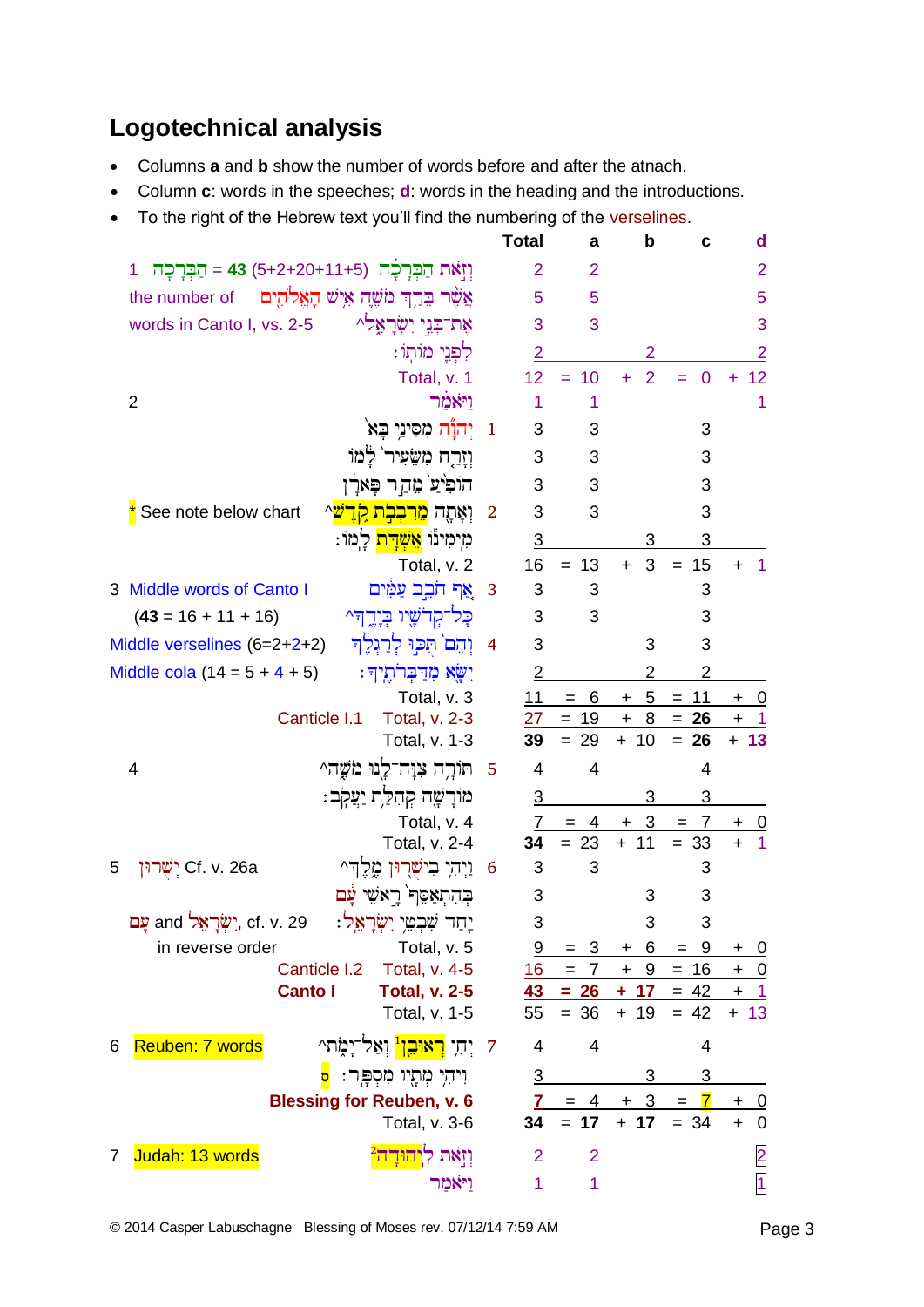## **Logotechnical analysis**

- Columns **a** and **b** show the number of words before and after the atnach.
- Column **c**: words in the speeches; **d**: words in the heading and the introductions.
- To the right of the Hebrew text you'll find the numbering of the verselines.

|                                                                    | <b>Total</b>                 | a                                  | b                     | C                      | d                            |
|--------------------------------------------------------------------|------------------------------|------------------------------------|-----------------------|------------------------|------------------------------|
| וְזְאֹת הַבִּרָכָה (5+2+20+11+5) 43 = הַבְּרָכָה<br>1              | $\overline{2}$               | $\overline{2}$                     |                       |                        | $\overline{2}$               |
| צֲשֶׁר בֵּרֵךְ מֹשֶׁהָ אִישׁ הָאֱלֹהָיִם<br>the number of          | 5                            | 5                                  |                       |                        | 5                            |
| אֶת־בְּנֵי יִשְׂרָאֵלִי<br>words in Canto I, vs. 2-5               | 3                            | 3                                  |                       |                        | 3                            |
| לִפְנֵי מוֹתְוֹ:                                                   | $\overline{2}$               |                                    | 2                     |                        | $\overline{2}$               |
| Total, v. 1                                                        | 12                           | 10<br>$=$                          | $\overline{2}$<br>÷   | $\mathbf{0}$           | 12<br>$\ddot{}$              |
| ויאמר<br>2                                                         | 1                            | 1                                  |                       |                        | 1                            |
| יִהוַד מִסִּינֵי בָא                                               | 3<br>$\mathbf{1}$            | 3                                  |                       | 3                      |                              |
| וַזָרַח מִשָּׂעִיר <sup>י </sup> לַמוֹ                             | 3                            | 3                                  |                       | 3                      |                              |
| הוֹפִיֹעֹ מֵהַר פָּאֹרָן                                           | 3                            | 3                                  |                       | 3                      |                              |
| See note below chart<br>וְאָתֶה <mark>מִרִבְבְת קִדֻשׁ</mark> ^    | 3<br>$\overline{2}$          | 3                                  |                       | 3                      |                              |
| מִימִינוֹ <mark>אֵשְׁדָּת</mark> לָמוֹ:                            | 3                            |                                    | 3                     | 3                      |                              |
| Total, v. 2                                                        | 16                           | $= 13$                             | 3<br>$+$              | 15<br>$=$              | 1<br>$\ddot{}$               |
| 3 Middle words of Canto I<br>אַף חֹבֵב עַמִּים                     | 3<br>$\overline{\mathbf{3}}$ | 3                                  |                       | 3                      |                              |
| כַּל־קִדֹשָׁיו בְּיָדֱדִּ^<br>$(43 = 16 + 11 + 16)$                | 3                            | 3                                  |                       | 3                      |                              |
| וִהֵם תִּכִּוּ לִרַגְלֵה<br>Middle verselines $(6=2+2+2)$          | 3<br>$\overline{4}$          |                                    | 3                     | 3                      |                              |
| Middle cola $(14 = 5 + 4 + 5)$<br>יִשָּׂא מִדַּבְרֹתֵיךְ:          | $\overline{2}$               |                                    | 2                     | 2                      |                              |
| Total, v. 3                                                        | 11                           | 6<br>$=$                           | 5 <sub>5</sub><br>$+$ | 11<br>$\equiv$         | 0<br>$\ddot{}$               |
| Canticle I.1<br>Total, v. 2-3                                      | 27                           | $= 19$                             | 8<br>$\ddot{}$        | $= 26$                 | $\ddagger$<br>$\overline{1}$ |
| Total, v. 1-3                                                      | 39                           | $= 29$                             | 10<br>$+$             | $= 26$                 | 13<br>$+$                    |
| תּוֹרָה צִוָּה־לָנוּ מֹשֶׁה^<br>4                                  | $\overline{4}$<br>$-5$       | 4                                  |                       | 4                      |                              |
| מוֹרָשֶׁה קְהִלַּת יַעֲקִב:                                        | $\overline{3}$               |                                    | 3                     | 3                      |                              |
| Total, v. 4                                                        | 7                            | $= 4$                              | 3<br>$+$              | 7<br>$\qquad \qquad =$ | $+$<br>$\overline{0}$        |
| Total, v. 2-4                                                      | 34                           | $= 23$                             | 11<br>$+$             | $= 33$                 | $\mathbf{1}$<br>$\ddot{}$    |
| יִשֻרוּן Cf. v. 26a<br>5<br>וַיִּהִי בִישָׁרְוּן מֶלֵדִּ^          | 3<br>6                       | 3                                  |                       | 3                      |                              |
| בהתאַסֶף רֵאשֵׁי עַם                                               | 3                            |                                    | 3                     | 3                      |                              |
| עָם and יִשְׂרָאֵל cf. v. 29<br>יָחַר שִׁבְטֵי יִשְׂרָאֵל:         | $\overline{3}$               |                                    | 3                     | 3                      |                              |
| in reverse order<br>Total, v. 5                                    |                              | 9<br>$= 3$                         | $+ 6$                 | $= 9$                  | $+ 0$                        |
| Total, v. 4-5<br>Canticle I.2                                      |                              | $16 = 7 + 9$                       |                       | $= 16$                 | $+ 0$                        |
| <b>Canto I</b><br><b>Total, v. 2-5</b><br>Total, v. 1-5            | 55                           | $\frac{43}{ } = 26 + 17$<br>$= 36$ | $+ 19$                | $= 42$<br>$= 42$       | $+$ 1<br>$+ 13$              |
|                                                                    |                              |                                    |                       |                        |                              |
| יִחִי <mark>ראוּבֵן'</mark> וִאֲל־יָמָת^<br>Reuben: 7 words<br>6   | $\overline{4}$<br>7          | 4                                  |                       | 4                      |                              |
| וִיהִי מִתָּיו מִסְפָּר: <mark>ס</mark>                            | $\overline{3}$               |                                    |                       | 3                      |                              |
| <b>Blessing for Reuben, v. 6</b>                                   |                              | $7 = 4$                            |                       | $+ 3 = 7$              | $+ 0$                        |
| Total, v. 3-6                                                      | 34                           | $= 17$                             | $+ 17$                | $= 34$                 | $\mathbf 0$<br>$+$           |
| Judah: 13 words<br>וַזְאת<br>$\overline{7}$<br><mark>הורה "</mark> | $\overline{2}$               | $\overline{2}$                     |                       |                        | $\overline{2}$               |
| <u>ויאמר</u>                                                       | 1                            | 1                                  |                       |                        | $\overline{1}$               |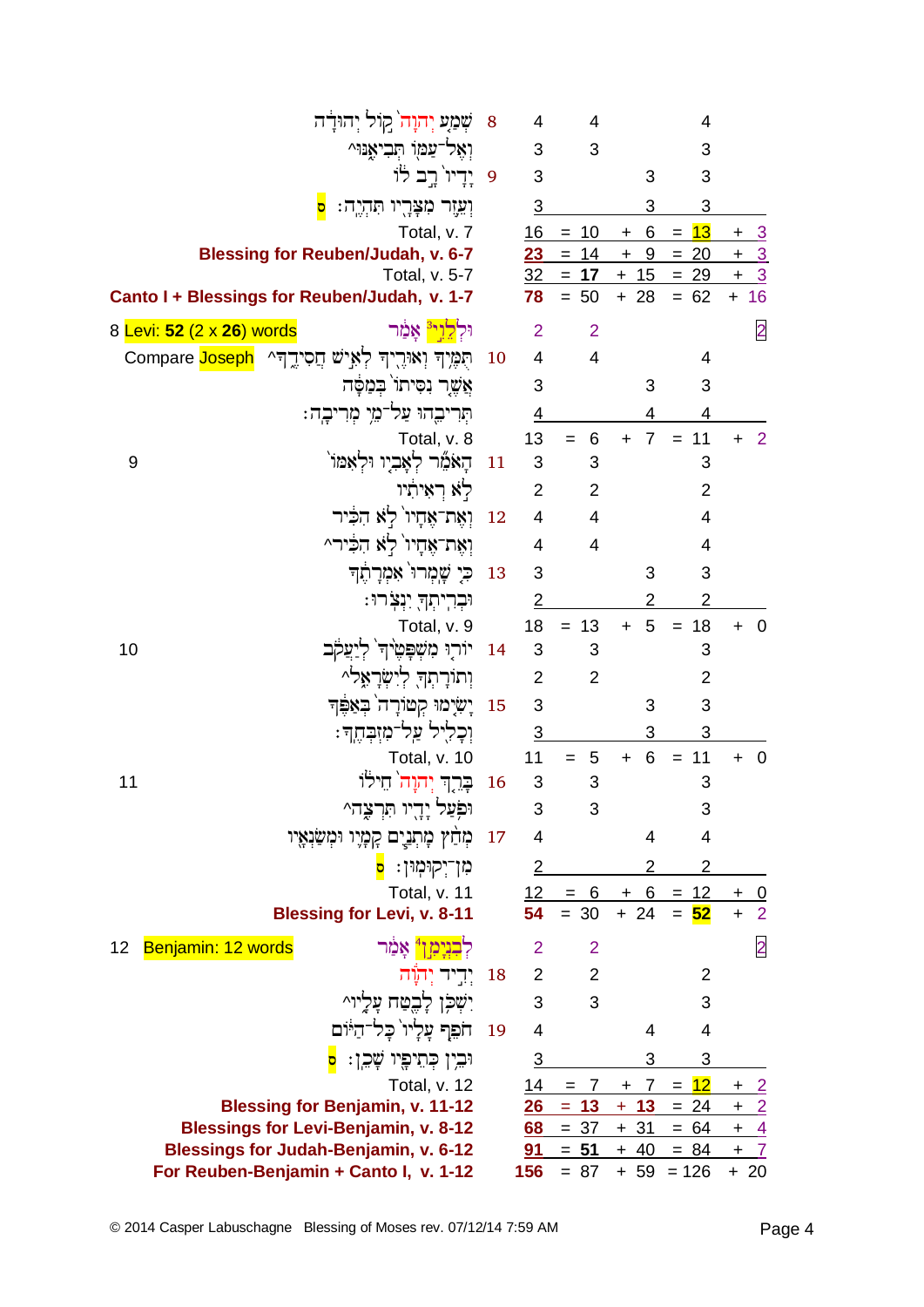|                           |   | שְׁמַע יְהוָה קוֹל יְהוּדָה                                       | 8             | 4                             | 4                                         |                    | 4                                                                                         |                                |
|---------------------------|---|-------------------------------------------------------------------|---------------|-------------------------------|-------------------------------------------|--------------------|-------------------------------------------------------------------------------------------|--------------------------------|
|                           |   | וְאֵל־עַמַן הְבִיאֶנּוּ^                                          |               | $\sqrt{3}$                    | 3                                         |                    | 3                                                                                         |                                |
|                           |   | 9 יַדִיוֹ רֵב לֹוֹ                                                |               | 3                             |                                           | 3                  | 3                                                                                         |                                |
|                           | D | וְעֵזֶר מִצְּרֶיו תִּהְיֶה:                                       |               | $\overline{3}$                |                                           |                    | 3                                                                                         |                                |
|                           |   | Total, v. 7                                                       |               | 16                            | $= 10$                                    |                    | $= 13$                                                                                    |                                |
|                           |   | <b>Blessing for Reuben/Judah, v. 6-7</b>                          |               |                               |                                           |                    | $\frac{16 = 10 + 6 = 13 + 3}{23 = 14 + 9 = 20 + 3}$<br>$\frac{32 = 17 + 15 = 29 + 3}{23}$ |                                |
|                           |   | Total, v. 5-7<br>Canto I + Blessings for Reuben/Judah, v. 1-7     |               |                               | $78 = 50$                                 | $+28$              | $= 62$                                                                                    | $+ 16$                         |
|                           |   |                                                                   |               |                               |                                           |                    |                                                                                           |                                |
| 8 Levi: 52 (2 x 26) words |   | וּלְ <mark>לֵוְי<sup>ּ3</sup>ּ אָמַ</mark> ׁר                     |               | $\overline{2}$                | $\overline{2}$                            |                    |                                                                                           | $\overline{2}$                 |
|                           |   | תֻמֶּיְךָ וְאוּרֶיִךְ לְאִישׁ חֲסִידֱךָ ^ הַCompare Joseph        | <sup>10</sup> | $\overline{4}$                | $\overline{4}$                            |                    | 4                                                                                         |                                |
|                           |   | אֲשֱר נִסִּיתוֹ בִּמַפֶּׁה                                        |               | 3                             |                                           | 3                  | 3                                                                                         |                                |
|                           |   | תִּרִיבֶהוּ עַל־מֵי מִרִיבֶה:                                     |               | $\overline{4}$                |                                           | 4                  | 4                                                                                         |                                |
|                           |   | Total, v. 8                                                       |               | 13                            | $= 6$                                     |                    | $+ 7 = 11$                                                                                | $\overline{\mathbf{2}}$<br>$+$ |
| 9                         |   | הָאֹמֶר לְאָבִיו וּלְאָמּוֹ                                       | <sup>11</sup> | 3                             | 3                                         |                    | 3                                                                                         |                                |
|                           |   | לא ראיתיו                                                         |               | $2^{\circ}$<br>$\overline{4}$ | $\overline{2}$                            |                    | $\overline{2}$                                                                            |                                |
|                           |   | וְאֵת־אֶחָיוֹ לְא הִבְּיר                                         | <sup>12</sup> | $\overline{4}$                | $\overline{\mathbf{4}}$<br>$\overline{4}$ |                    | 4                                                                                         |                                |
|                           |   | וְאֵת־אֱחָיו`לְא הִלִּיר^<br>כִּי שֲׁמָרוּ אִמְרַחֵ               | <sup>13</sup> | 3                             |                                           | 3                  | 4<br>3                                                                                    |                                |
|                           |   |                                                                   |               |                               |                                           |                    |                                                                                           |                                |
|                           |   | וּבְרִיתְךָ יִנְצְׂרוּ:                                           |               | $\overline{2}$                | $= 13$                                    | 2<br>$+ 5 =$       | 2                                                                                         |                                |
| 10                        |   | Total, v. 9<br>14 - יוֹרְוּ מִשְׁפָּטֵי <sup>ּ</sup> ךְ לְיַעֲקֹב |               | 18<br>$\sqrt{3}$              | 3                                         |                    | 18<br>3                                                                                   | $\overline{\mathbf{0}}$<br>$+$ |
|                           |   | וְתוֹרָתְךָ לְיִשְׂרָאֲלֹ^                                        |               | $\overline{2}$                | $\overline{2}$                            |                    | 2                                                                                         |                                |
|                           |   | 15 יָשִׂיָמוּ קְטוֹרָה בִּאַפֵּךְ                                 |               | 3                             |                                           | 3                  | 3                                                                                         |                                |
|                           |   | וְכָלִיל עַל־מִזִּבְחֵדּ:                                         |               | $\overline{3}$                |                                           | 3                  | 3                                                                                         |                                |
|                           |   | Total, v. 10                                                      |               | 11                            | $= 5$                                     | $+ 6$              | $= 11$                                                                                    | $\ddot{}$<br>$\overline{0}$    |
| 11                        |   | 16 – בְּרֵךְ יְהוָה בִילוֹ                                        |               | 3                             | 3                                         |                    | 3                                                                                         |                                |
|                           |   | וּפְֹעַל יָדָיו תִּרְצֶה^                                         |               | 3                             | З                                         |                    | 3                                                                                         |                                |
|                           |   | מְחַץ מְתְנֵים קִמְיו וּמְשַׂנְאָיו                               | <sup>17</sup> | $\overline{4}$                |                                           | 4                  | $\overline{4}$                                                                            |                                |
|                           |   | מִן־יְקוּמְוּן: <mark>ס</mark>                                    |               | 2                             |                                           |                    | 2                                                                                         |                                |
|                           |   | Total, v. 11                                                      |               |                               | $12 = 6 + 6 = 12$                         |                    |                                                                                           | $\pm$<br>$\overline{0}$        |
|                           |   | <b>Blessing for Levi, v. 8-11</b>                                 |               | 54                            | $= 30$                                    | $+ 24$             | $= 52$                                                                                    | $\overline{2}$<br>$\ddot{}$    |
| Benjamin: 12 words<br>12  |   | לִ <mark>בְנִיַמְן<sup>4</sup> אֲמֵר</mark>                       |               | $\overline{2}$                | $\overline{2}$                            |                    |                                                                                           | $\overline{2}$                 |
|                           |   | יִדִיד יִתְוָּה                                                   | 18            |                               | $2^{\sim}$<br>$\overline{2}$              |                    | 2                                                                                         |                                |
|                           |   | יִשְׁכָּן לָבֵטַח עָלָיוִ^                                        |               | 3                             | 3                                         |                    | 3                                                                                         |                                |
|                           |   | חֹפֵף עֲלָיו`כָל־הַיּוֹם                                          | 19            | $\overline{4}$                |                                           | 4                  | 4                                                                                         |                                |
|                           |   | וּבִין כְתֵיפָיו שָׁכֵן: <mark>ס</mark>                           |               | 3                             |                                           | 3                  | 3                                                                                         |                                |
|                           |   | Total, v. 12                                                      |               | 14                            | $= 7$                                     | $7^{\circ}$<br>$+$ | $= 12$                                                                                    | <u>+ 2</u>                     |
|                           |   | <b>Blessing for Benjamin, v. 11-12</b>                            |               | 26                            | $= 13$                                    | $+ 13$             | $= 24$                                                                                    | $+2$                           |
|                           |   | <b>Blessings for Levi-Benjamin, v. 8-12</b>                       |               | 68                            | $= 37$                                    | $+31$              | $= 64$                                                                                    | $\frac{4}{1}$<br>$+$           |
|                           |   | <b>Blessings for Judah-Benjamin, v. 6-12</b>                      |               | <u>91</u>                     | $= 51$                                    | $+ 40$             | $= 84$                                                                                    | $\pm$<br>$\overline{7}$        |
|                           |   | For Reuben-Benjamin + Canto I, v. 1-12                            |               | 156                           | $= 87$                                    | + 59               | $= 126$                                                                                   | $+20$                          |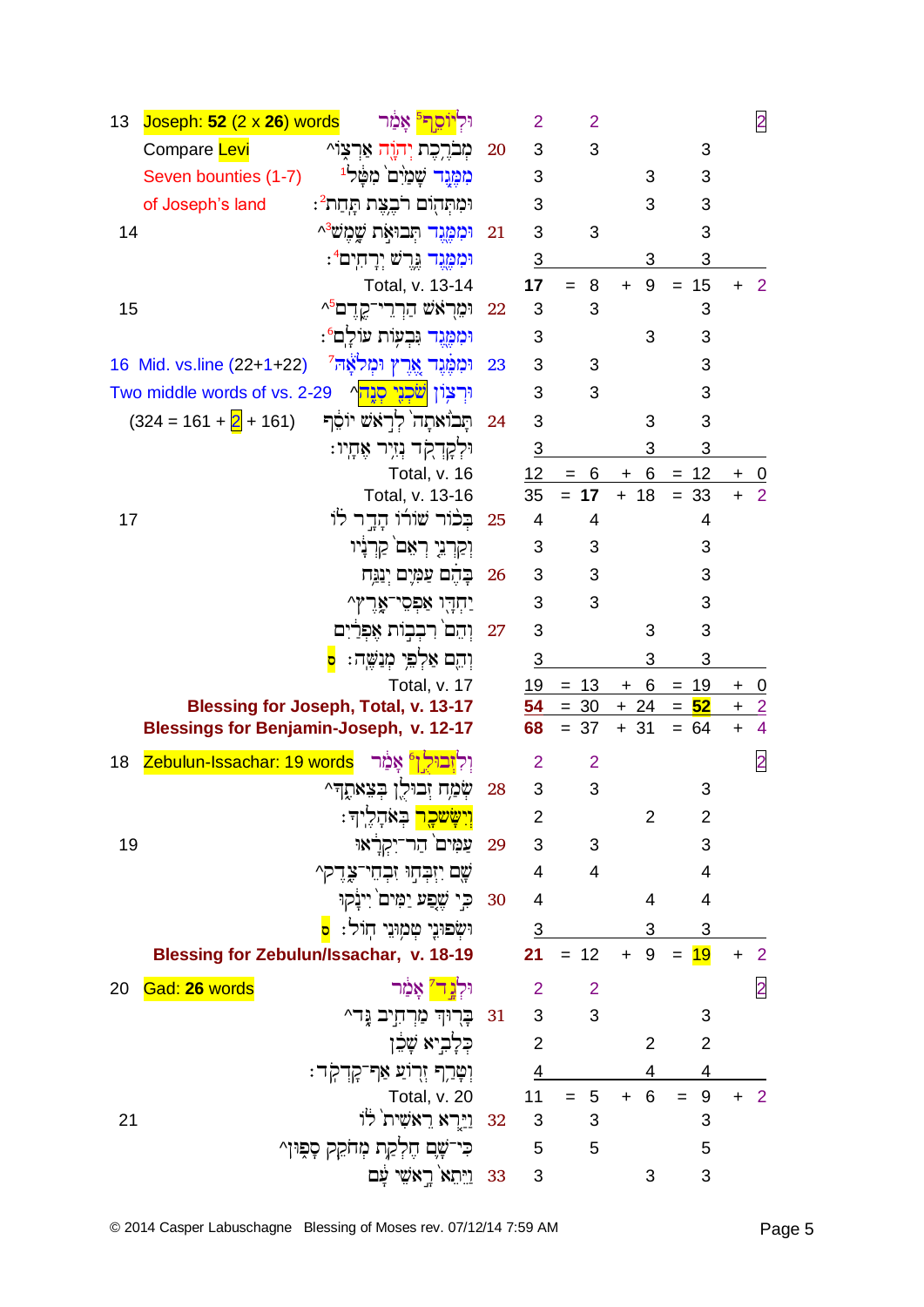| 13 | Joseph: $52$ (2 x 26) words                    | וּלְיֹוֹסֵ <mark>ך</mark> אֲמַר                       |    | $\overline{2}$ | 2                          |                        |                                    |                      | $\overline{2}$ |
|----|------------------------------------------------|-------------------------------------------------------|----|----------------|----------------------------|------------------------|------------------------------------|----------------------|----------------|
|    | Compare Levi                                   | מִברֶכֶת יִהוֶה אַרצוֹ^                               | 20 | 3              | 3                          |                        | 3                                  |                      |                |
|    | Seven bounties (1-7)                           | מִמֶּנֶד שָׁמַיִם מִטַּל <sup>וּ</sup>                |    | 3              |                            | 3                      | 3                                  |                      |                |
|    | of Joseph's land                               | וּמִתְּהְוֹם רֹבֵצֵת תְּחַת <sup>2</sup> :            |    | 3              |                            | 3                      | 3                                  |                      |                |
| 14 |                                                | וּמִמֱנֵד תִּבוּאָת שֲמֵש <sup>ָּג</sup>              | 21 | 3              | 3                          |                        | 3                                  |                      |                |
|    |                                                | וּמִמֱנֵד גֶרֵשׁ יְרָחִים <i>"</i> :                  |    | 3              |                            | 3                      | 3                                  |                      |                |
|    |                                                | Total, v. 13-14                                       |    | 17             | 8<br>$=$                   | 9<br>$+$               | $= 15$                             | $\ddot{}$            | 2              |
| 15 |                                                | וּמֵרָאֹשׁ הַרְרֵי־קֶדֶם <i>^</i>                     | 22 | 3              | 3                          |                        | 3                                  |                      |                |
|    |                                                | וּמִמֶּנֶד וִּבְעָוֹת עוֹלַם <sup>6</sup> :           |    | 3              |                            | 3                      | 3                                  |                      |                |
|    | 16 Mid. vs.line (22+1+22)                      | וּמִמֶּנֶד אֱרֵץ וּמִלֹאֲה <sup>ָי</sup>              | 23 | 3              | 3                          |                        | 3                                  |                      |                |
|    | Two middle words of vs. 2-29                   | וּרִצְוֹן <mark>שֹׁכְנֵי סְנָה</mark> ^               |    | 3              | 3                          |                        | 3                                  |                      |                |
|    | $(324 = 161 + 2 + 161)$                        | תֲבוֹאתָה לִרְאֹשׁ יוֹסֵךְ                            | 24 | 3              |                            | 3                      | 3                                  |                      |                |
|    |                                                | וּלְקָרְקֹד נְזִיִר אֶחָיו:                           |    | $\overline{3}$ |                            | 3                      | 3                                  |                      |                |
|    |                                                | Total, v. 16                                          |    | 12             | 6<br>$=$                   | 6<br>$+$               | $= 12$                             | $\ddot{}$            | $\mathbf{0}$   |
| 17 |                                                | Total, v. 13-16<br>בְּכֹוֹר שׁוֹרוֹ הָדֶר לוֹ         | 25 | 35<br>4        | $= 17$<br>4                | $+ 18$                 | $= 33$<br>4                        | $\ddot{}$            | 2              |
|    |                                                | וְקַרְנֵי רְאֵם קַרְנָיו                              |    | 3              | 3                          |                        | 3                                  |                      |                |
|    |                                                | בַּהֵם עַמְיֵם יְנַגֲח                                | 26 | 3              | 3                          |                        | 3                                  |                      |                |
|    |                                                | יַחִדֶּו אַפִּסֶי־אֱרֵץ^                              |    | 3              | 3                          |                        | 3                                  |                      |                |
|    |                                                | וְהֵם רִבְבְוֹת אֵפְרַיִם                             | 27 | 3              |                            | 3                      | 3                                  |                      |                |
|    |                                                | וְהֵם אַלְפֵּי מְנַשֱה:                               |    | 3              |                            | 3                      | 3                                  |                      |                |
|    |                                                | Total, v. 17                                          |    | 19             | $= 13$                     | 6<br>$\pm$             | 19<br>$=$                          | $\ddot{}$            | $\overline{0}$ |
|    |                                                | <b>Blessing for Joseph, Total, v. 13-17</b>           |    | 54             | $= 30$                     | $+24$                  | $= 52$                             | $+$                  | $\overline{2}$ |
|    | <b>Blessings for Benjamin-Joseph, v. 12-17</b> |                                                       |    | 68             | $= 37$                     | $+31$                  | $= 64$                             | $\ddot{}$            | $\overline{4}$ |
| 18 | Zebulun-Issachar: 19 words                     | וִלְזְבוּל וְ° אֲמַר                                  |    | $\overline{2}$ | $\overline{2}$             |                        |                                    |                      | $\overline{2}$ |
|    |                                                | שְׂמַח זְבוּלֶן בְּצֵאתֶדִּ^                          | 28 | 3              | 3                          |                        | 3                                  |                      |                |
|    |                                                | <mark>וְישָׂשכֶר</mark> בְּאֹהָלֶיךָ:                 |    | 2              |                            | $\overline{2}$         | $\overline{2}$                     |                      |                |
| 19 |                                                | 29 - עַמִּים <sup>י</sup> הַר־יִקְרָ <sup>ּ</sup> אוּ |    | $\mathfrak{S}$ | $\overline{\phantom{a}}$ 3 |                        | 3                                  |                      |                |
|    |                                                | ֹשֶׁם יִזְבְּחָוּ זִבְחֵי־צָּדֶק^                     |    |                | $4\overline{4}$            |                        | 4                                  |                      |                |
|    |                                                | 30 כִּי שֶׁפַע יַמִּים יִינָקוּ                       |    | $\overline{4}$ |                            | 4                      | 4                                  |                      |                |
|    |                                                | וּשְׂפוּנֶי טְמְוּנֵי חְוֹל: <mark>ס</mark>           |    |                | $\frac{3}{2}$              | $3 \quad \blacksquare$ | $\overline{3}$                     |                      |                |
|    | Blessing for Zebulun/Issachar, v. 18-19        |                                                       |    |                | $21 = 12 + 9 =$            |                        | 19                                 |                      | $\overline{2}$ |
| 20 | Gad: 26 words                                  | וּלְ <mark>נֶד'</mark> אָמַׄר                         |    | $\overline{2}$ | $\overline{2}$             |                        |                                    |                      | $\overline{2}$ |
|    |                                                | 81 בְּרְוּךְ מַרְחָיָב גֶּד^                          |    |                | $3^3$ 3                    |                        | 3                                  |                      |                |
|    |                                                | כִלָּבִיא שָׁבֵן                                      |    | $\overline{2}$ |                            | 2                      | $\overline{2}$                     |                      |                |
|    |                                                | וְטָרַף זְרִוֹעַ אַף־קָדְקְר:                         |    |                | $\frac{4}{1}$              |                        | $4 \quad \blacksquare$<br><u>4</u> |                      |                |
|    |                                                | Total, v. 20                                          |    |                | $11 = 5 + 6 =$             |                        | $\boldsymbol{9}$                   | $\ddot{\phantom{1}}$ | $\overline{2}$ |
| 21 |                                                | 32 - <u>ויי</u> רא ראשית לו                           |    | 3              | 3                          |                        | 3                                  |                      |                |
|    |                                                |                                                       |    |                |                            |                        |                                    |                      |                |
|    |                                                | כִּי־שָׁם חֶלְקַת מְחֹקֵק סָפִּוּן^                   |    | $\sqrt{5}$     | 5                          |                        | 5                                  |                      |                |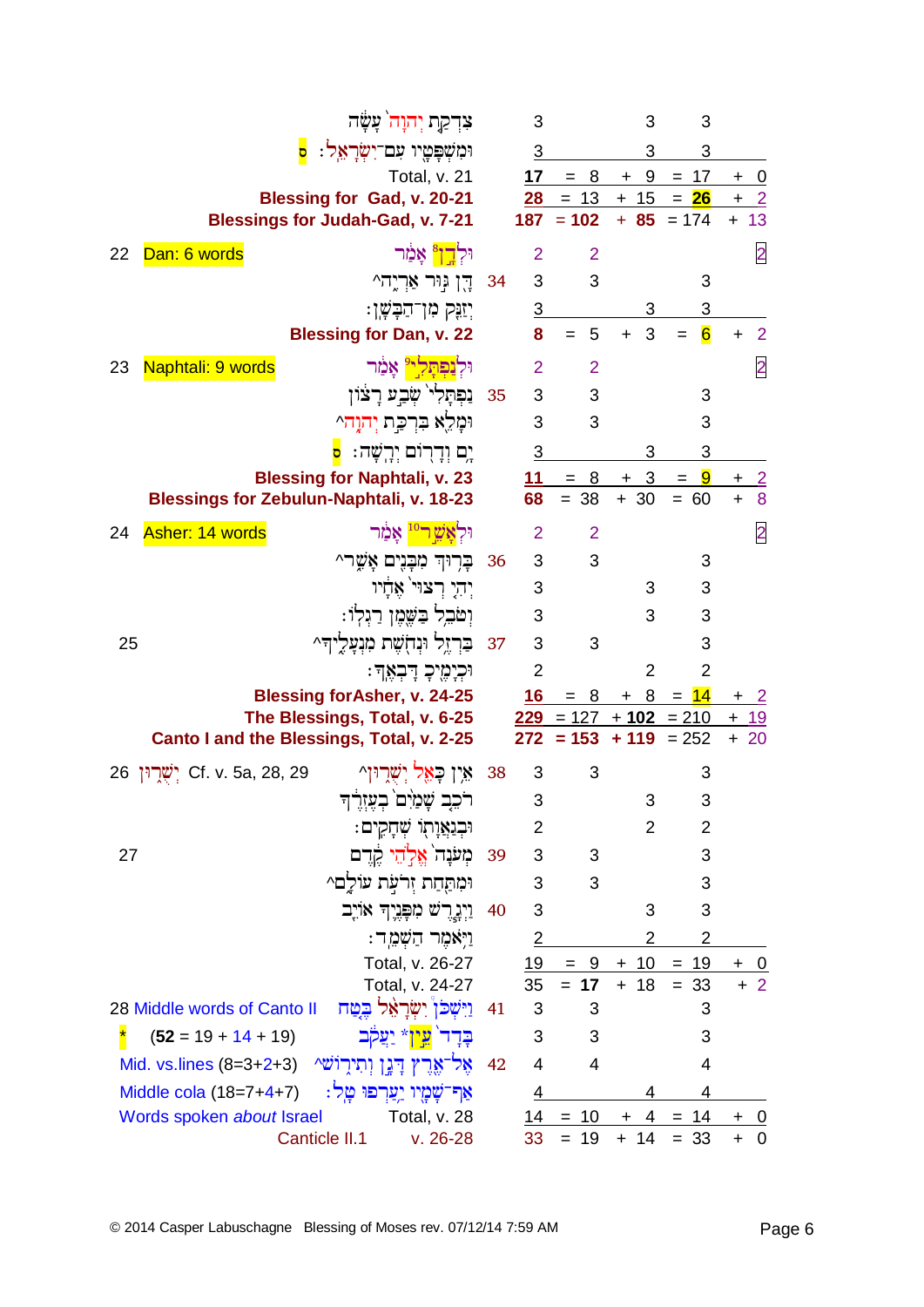|    | צִדְקַת יְהוָה <sup>ּ</sup> עָשָׂה                                   |      | 3               |                            | 3              | 3                            |                             |
|----|----------------------------------------------------------------------|------|-----------------|----------------------------|----------------|------------------------------|-----------------------------|
|    | וּמִשְׁפָּטֶיו עִם־יִשְׂרָאֵל: <mark>ס</mark>                        |      | $\overline{3}$  |                            | 3              | 3                            |                             |
|    | Total, v. 21                                                         |      |                 | $17 = 8 + 9 = 17$          |                |                              | $+$<br><u>_0</u>            |
|    | Blessing for Gad, v. 20-21                                           |      | 28              |                            | $= 13 + 15$    | $= 26$                       | <u>_2</u>                   |
|    | <b>Blessings for Judah-Gad, v. 7-21</b>                              |      |                 | $187 = 102$                |                | $+ 85 = 174$                 | $+ 13$                      |
| 22 | <mark>וּלְדֶן</mark> אָמַר<br>Dan: 6 words                           |      | $\overline{2}$  | $\overline{2}$             |                |                              | $\overline{2}$              |
|    | 34 הַן גִּוּר אַרְיֵה^                                               |      | 3               | 3                          |                | 3                            |                             |
|    | יִזַּנֶּק מִוְ־הַבָּשֶׁן:                                            |      | 3               |                            |                | $\overline{3}$               |                             |
|    | <b>Blessing for Dan, v. 22</b>                                       |      | 8               | 5<br>$=$                   | 3<br>$+$       | $\overline{6}$<br>$=$        | $\overline{2}$<br>$\ddot{}$ |
| 23 | וּלְנַפְתָּלְי <sup>ַיּ</sup> אָמַר<br>Naphtali: 9 words             |      | $\overline{2}$  | 2                          |                |                              | $\overline{2}$              |
|    | 35 5 נַפְתָּלִי שָׂבֵע רָצוֹן                                        |      |                 | 3                          |                | 3                            |                             |
|    | וּמַלֵא בִּרְכֵּת יְהוַה״                                            |      | $\mathbf{3}$    | 3                          |                | 3                            |                             |
|    | יֵם וִדַרְוֹם יִרֲשָׁה: <mark>ס</mark>                               |      | $\overline{3}$  |                            |                | 3                            |                             |
|    | <b>Blessing for Naphtali, v. 23</b>                                  |      |                 | $\frac{11}{1} = 8 + 3 = 9$ |                |                              | $\overline{2}$              |
|    | <b>Blessings for Zebulun-Naphtali, v. 18-23</b>                      |      | 68              | $= 38$                     | $+30$          | 60<br>$=$                    | 8                           |
| 24 | וּלְ <mark>אֵשֶׁ ר<sup>10</sup> אֲכַ</mark> ּׂוּר<br>Asher: 14 words |      | 2               | $\overline{2}$             |                |                              | $\overline{2}$              |
|    | בָרְוּךְ מִבָּנִים אָשֶׁר^                                           | 36   | 3 <sup>2</sup>  | $\mathbf{3}$               |                | 3                            |                             |
|    | יִהְיָ רְצוּי אֲדָיו                                                 |      | 3               |                            | 3              | 3                            |                             |
|    | וִטֹּבִל בַּשֶּׁמֶן רַגְלְוֹ:                                        |      | 3               |                            | 3              | 3                            |                             |
| 25 | ּבּרְזֶל וּנְחָשֶׁת מִנְעָלֶיךָ^                                     | 37   | 3               | 3                          |                | 3                            |                             |
|    | וּכְיָמֶיכָ דָבְאֶדּ:                                                |      | $\overline{2}$  |                            | $\overline{2}$ | $\overline{2}$               |                             |
|    | <b>Blessing for Asher, v. 24-25</b>                                  |      | 16 <sup>°</sup> |                            | $= 8 + 8$      | $= 14$                       | $+2$                        |
|    | The Blessings, Total, v. 6-25                                        |      |                 |                            |                | $229 = 127 + 102 = 210 + 19$ |                             |
|    | Canto I and the Blessings, Total, v. 2-25                            |      |                 | $272 = 153 + 119 = 252$    |                |                              | $+20$                       |
|    | אַין כָאֵל יִשְׁרֵוּוְ^<br>26 יִשְׁרְוֹן Cf. v. 5a, 28, 29           | - 38 | 3               | 3                          |                | 3                            |                             |
|    | بردد هُمزن خَمْنُهُك                                                 |      | 3               |                            | 3              | 3                            |                             |
|    | וּבִנַּאֲוָתְוֹ שְׁחָקִים:                                           |      | 2               |                            | 2              | 2                            |                             |
| 27 | מִעֹּנָה אֱלְהֵי קֶדֶם                                               | 39   | 3               | 3                          |                | 3                            |                             |
|    | וּמִתַּחַת זִרֹעָת עוֹלַם^                                           |      | 3               | 3                          |                | 3                            |                             |
|    | וַיְנָרֵשׁ מִפְּנֵיִךְ אוֹיֶב                                        | 40   | 3               |                            | 3              | 3                            |                             |
|    | וַיִּאמֵר הַשָּׁמֵר:                                                 |      | 2               |                            | 2              | $\overline{2}$               |                             |
|    | Total, v. 26-27                                                      |      | 19              | $= 9$                      | $+10$          | $= 19$                       | $\overline{0}$              |
|    | Total, v. 24-27                                                      |      | 35              | $= 17$                     | $+ 18$         | $= 33$                       | $+2$                        |
|    | וַיִּשְׁכֹּן יִשְׂרַאֵל בִטַּח<br>28 Middle words of Canto II        | 41   | 3               | 3                          |                | 3                            |                             |
|    | $(52 = 19 + 14 + 19)$<br>בַדַר' עֵין* יַעֲקֹב                        |      | 3               | 3                          |                | 3                            |                             |
|    | אָל־אֱרֶץ דָּנֶן וְתִירָוֹשׁ^<br>Mid. vs.lines $(8=3+2+3)$           | 42   | 4               | $\overline{4}$             |                | 4                            |                             |
|    | אַף־שָׁמָיו יַעַרִפוּ טַל:<br>Middle cola $(18=7+4+7)$               |      | 4               |                            |                | 4                            |                             |
|    | Words spoken about Israel<br>Total, v. 28                            |      |                 | $14 = 10$                  |                | $+ 4 = 14$                   | $+ 0$                       |
|    | Canticle II.1<br>$v. 26-28$                                          |      | 33              | $= 19$                     | $+ 14$         | $= 33$                       | 0<br>$\ddot{}$              |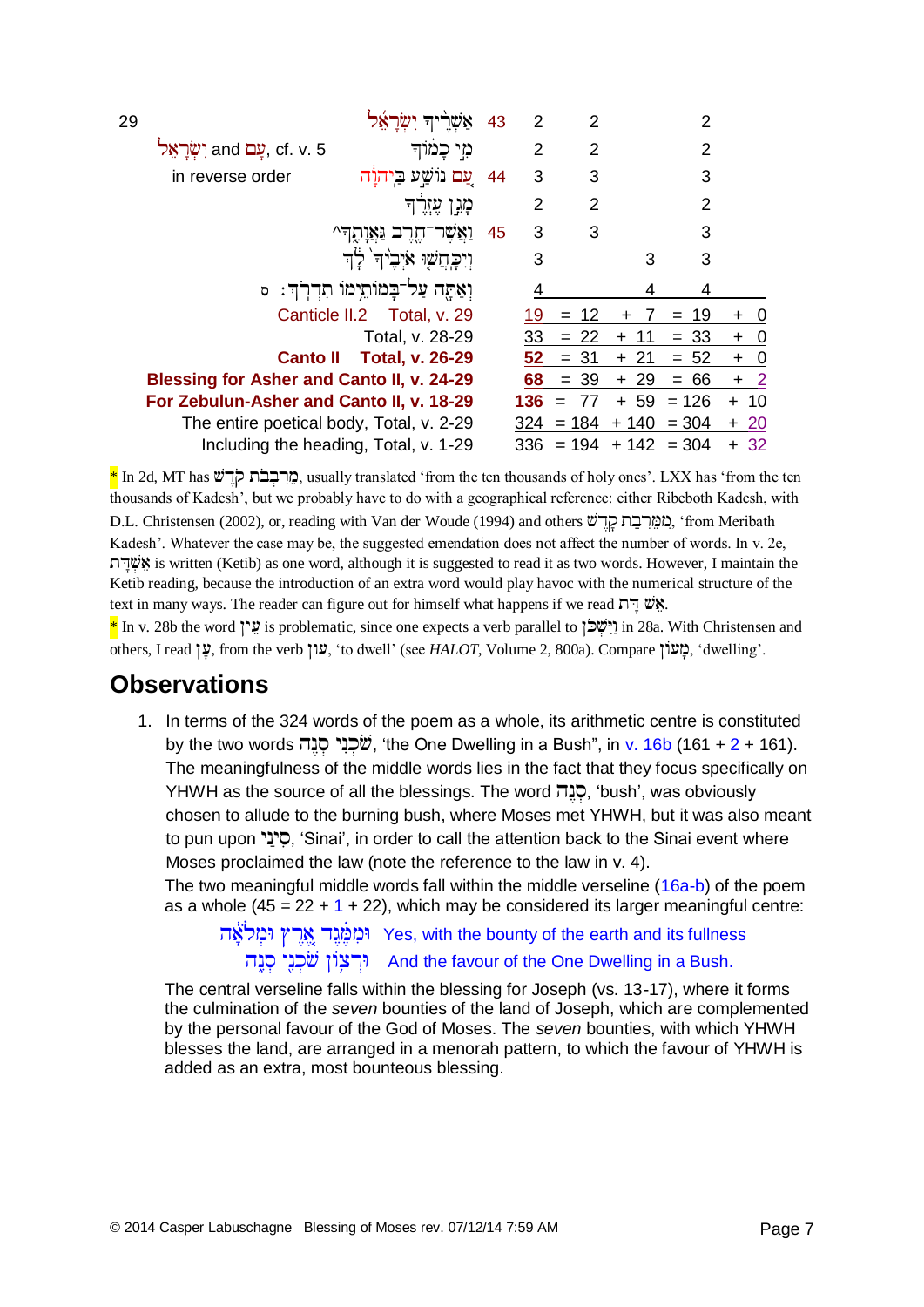| 29 |                                           |                                       | 43 | 2   | 2       |                  | 2         |                                    |
|----|-------------------------------------------|---------------------------------------|----|-----|---------|------------------|-----------|------------------------------------|
|    | cf. v. 5 עֵם and יְשָׂרָאֵל and           | מי כמוד                               |    | 2   | 2       |                  | 2         |                                    |
|    | in reverse order                          | ַעֲם נוֹשֵׁע בֵיהוַׂה                 | 44 | 3   | 3       |                  | 3         |                                    |
|    |                                           | מְגָן עָזְרֶך                         |    | 2   | 2       |                  | 2         |                                    |
|    |                                           | ואשר                                  | 45 | 3   | 3       |                  | 3         |                                    |
|    |                                           | וְיִכְחֲשָׁוּ אֹיְבָיה לָה            |    | 3   |         | 3                | 3         |                                    |
|    |                                           | וְאַתֵּה עַל־בָּמוֹתֵימוֹ תִדְרְךָ: ס |    |     |         | 4                | 4         |                                    |
|    |                                           | Canticle II.2 Total, v. 29            |    | 19  | $= 12$  |                  | 19<br>$=$ | $\overline{\phantom{0}}$<br>$\div$ |
|    |                                           | Total, v. 28-29                       |    | 33  | $= 22$  | -11<br>$\ddot{}$ | $= 33$    | $\boldsymbol{0}$                   |
|    | <b>Canto II</b>                           | <b>Total, v. 26-29</b>                |    | 52  | $= 31$  | $+21$            | $= 52$    | $\overline{\phantom{0}}$<br>$\pm$  |
|    | Blessing for Asher and Canto II, v. 24-29 |                                       |    | 68  | $= 39$  | -29<br>$+$       | 66<br>$=$ | $+2$                               |
|    | For Zebulun-Asher and Canto II, v. 18-29  |                                       |    | 136 | 77      | $+ 59$           | $= 126$   | $+ 10$                             |
|    | The entire poetical body, Total, v. 2-29  |                                       |    | 324 | $= 184$ | $+140$           | $= 304$   | $+20$                              |
|    | Including the heading, Total, v. 1-29     |                                       |    | 336 | $= 194$ | $+ 142 = 304$    |           | $+32$                              |

\* In 2d, MT has , usually translated 'from the ten thousands of holy ones'. LXX has 'from the ten thousands of Kadesh', but we probably have to do with a geographical reference: either Ribeboth Kadesh, with D.L. Christensen (2002), or, reading with Van der Woude (1994) and others מֲמֵרְבָת קְדֵישׁ, 'from Meribath Kadesh'. Whatever the case may be, the suggested emendation does not affect the number of words. In v. 2e, is written (Ketib) as one word, although it is suggested to read it as two words. However, I maintain the Ketib reading, because the introduction of an extra word would play havoc with the numerical structure of the text in many ways. The reader can figure out for himself what happens if we read  $\Gamma \nabla \mathcal{W}$ .

 $*$  In v. 28b the word  $\ddot{x}$  is problematic, since one expects a verb parallel to  $\ddot{y}$  in 28a. With Christensen and others, I read ", from the verb ", עון, 'to dwell' (see *HALOT*, Volume 2, 800a). Compare , "qwelling".

#### **Observations**

1. In terms of the 324 words of the poem as a whole, its arithmetic centre is constituted by the two words , 'the One Dwelling in a Bush", in v. 16b (161 + 2 + 161). The meaningfulness of the middle words lies in the fact that they focus specifically on YHWH as the source of all the blessings. The word כנה, 'bush', was obviously chosen to allude to the burning bush, where Moses met YHWH, but it was also meant to pun upon "סָיָנָ", 'Sinai', in order to call the attention back to the Sinai event where Moses proclaimed the law (note the reference to the law in v. 4).

The two meaningful middle words fall within the middle verseline (16a-b) of the poem as a whole  $(45 = 22 + 1 + 22)$ , which may be considered its larger meaningful centre:

יִמְמֶּנֵד אֵרֵץ וּמִלֹאֶה Yes, with the bounty of the earth and its fullness And the favour of the One Dwelling in a Bush.

The central verseline falls within the blessing for Joseph (vs. 13-17), where it forms the culmination of the *seven* bounties of the land of Joseph, which are complemented by the personal favour of the God of Moses. The *seven* bounties, with which YHWH blesses the land, are arranged in a menorah pattern, to which the favour of YHWH is added as an extra, most bounteous blessing.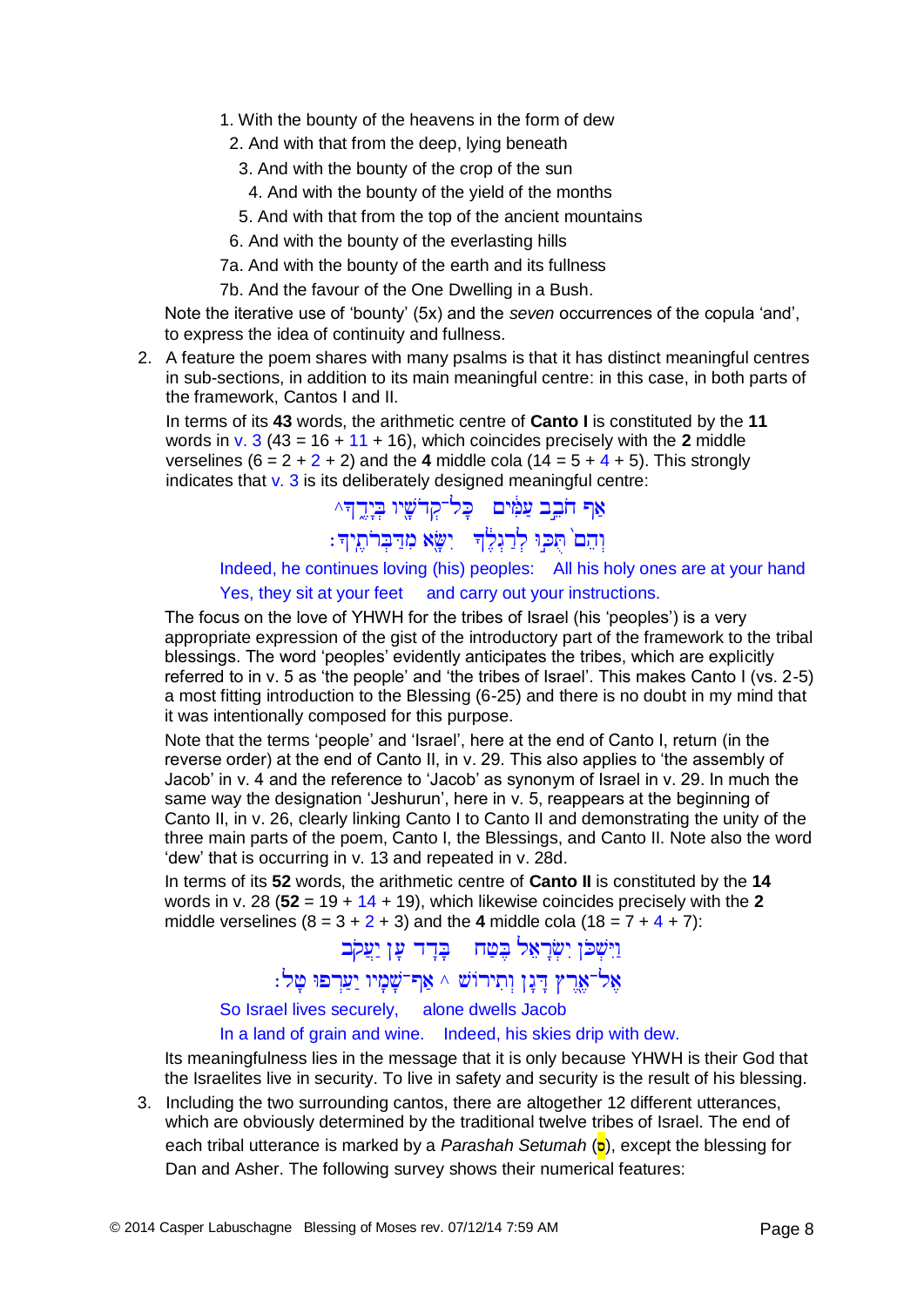- 1. With the bounty of the heavens in the form of dew
- 2. And with that from the deep, lying beneath
	- 3. And with the bounty of the crop of the sun
		- 4. And with the bounty of the yield of the months
	- 5. And with that from the top of the ancient mountains
- 6. And with the bounty of the everlasting hills
- 7a. And with the bounty of the earth and its fullness
- 7b. And the favour of the One Dwelling in a Bush.

Note the iterative use of 'bounty' (5x) and the *seven* occurrences of the copula 'and', to express the idea of continuity and fullness.

2. A feature the poem shares with many psalms is that it has distinct meaningful centres in sub-sections, in addition to its main meaningful centre: in this case, in both parts of the framework, Cantos I and II.

In terms of its **43** words, the arithmetic centre of **Canto I** is constituted by the **11** words in v. 3 (43 = 16 + 11 + 16), which coincides precisely with the **2** middle verselines  $(6 = 2 + 2 + 2)$  and the 4 middle cola  $(14 = 5 + 4 + 5)$ . This strongly indicates that  $v. 3$  is its deliberately designed meaningful centre:

אַף חֹבֵב עַמִּים | כָּל־קִדֹשֶׁיוּ בִיָדֱדִּ^

וְהֵם ٰ תֻּכְּוּ לְרַגְלֶ<sup>וְ</sup>דִּ יִשָּׂא מִדַּבְרֹתֶיךָ:

Indeed, he continues loving (his) peoples: All his holy ones are at your hand Yes, they sit at your feet and carry out your instructions.

The focus on the love of YHWH for the tribes of Israel (his 'peoples') is a very appropriate expression of the gist of the introductory part of the framework to the tribal blessings. The word 'peoples' evidently anticipates the tribes, which are explicitly referred to in v. 5 as 'the people' and 'the tribes of Israel'. This makes Canto I (vs. 2-5) a most fitting introduction to the Blessing (6-25) and there is no doubt in my mind that it was intentionally composed for this purpose.

Note that the terms 'people' and 'Israel', here at the end of Canto I, return (in the reverse order) at the end of Canto II, in v. 29. This also applies to 'the assembly of Jacob' in v. 4 and the reference to 'Jacob' as synonym of Israel in v. 29. In much the same way the designation 'Jeshurun', here in v. 5, reappears at the beginning of Canto II, in v. 26, clearly linking Canto I to Canto II and demonstrating the unity of the three main parts of the poem, Canto I, the Blessings, and Canto II. Note also the word 'dew' that is occurring in v. 13 and repeated in v. 28d.

In terms of its **52** words, the arithmetic centre of **Canto II** is constituted by the **14** words in v. 28 (**52** = 19 + 14 + 19), which likewise coincides precisely with the **2** middle verselines  $(8 = 3 + 2 + 3)$  and the 4 middle cola  $(18 = 7 + 4 + 7)$ :

> וַיִּשְׁכֹּן יִשְׂרָאֵל בֵּטַח בָּדָד עָן יַעֲקֹב אָל־אֶרֶץ דְּנֶן וְתִירוֹשׁ ^ אַף־שָׁמָיו יַעַרְפוּ טָל:

So Israel lives securely, alone dwells Jacob

In a land of grain and wine. Indeed, his skies drip with dew.

Its meaningfulness lies in the message that it is only because YHWH is their God that the Israelites live in security. To live in safety and security is the result of his blessing.

3. Including the two surrounding cantos, there are altogether 12 different utterances, which are obviously determined by the traditional twelve tribes of Israel. The end of each tribal utterance is marked by a *Parashah Setumah* (**p**), except the blessing for Dan and Asher. The following survey shows their numerical features: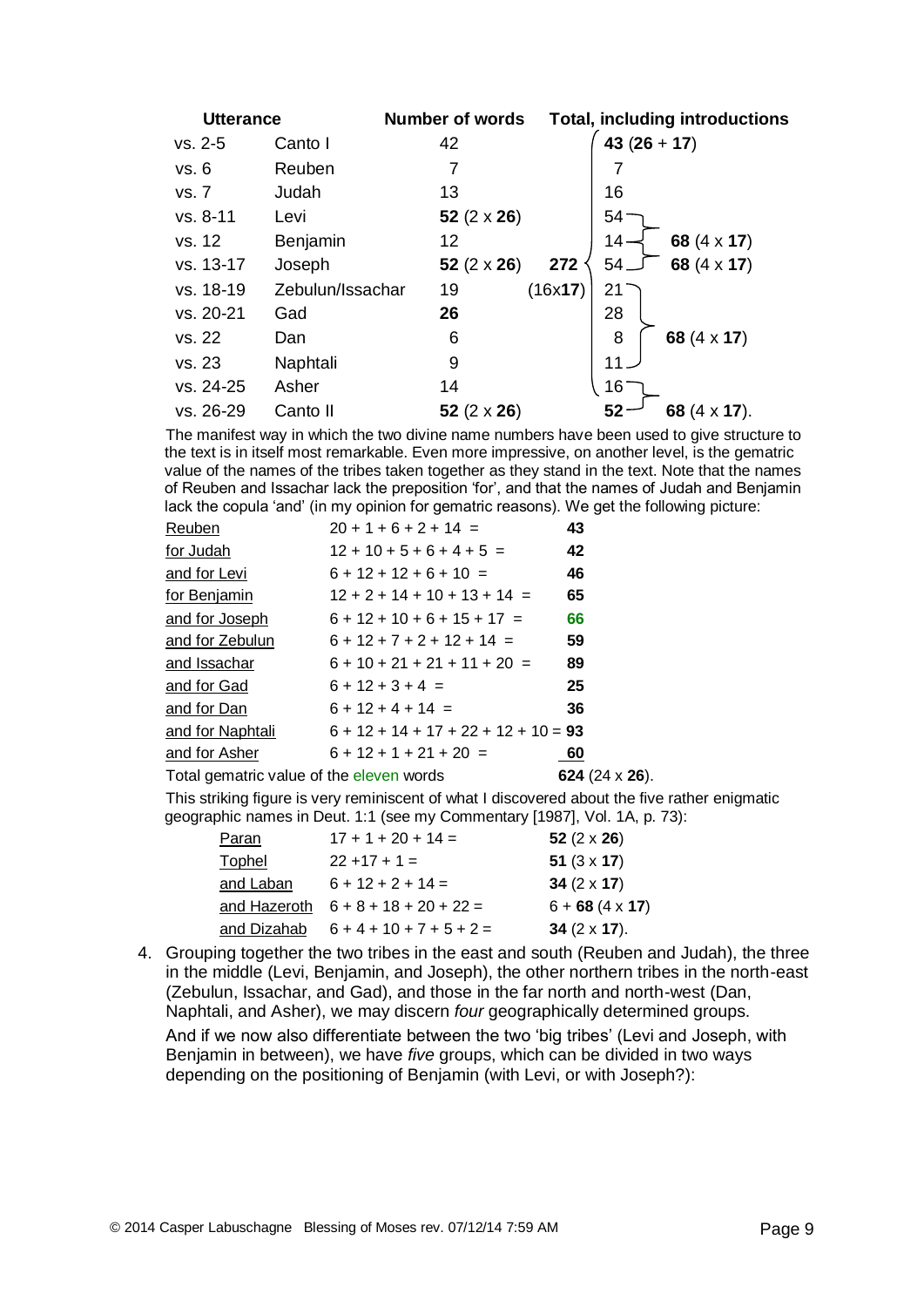| <b>Utterance</b> |                  | <b>Number of words</b> |         |             | <b>Total, including introductions</b> |
|------------------|------------------|------------------------|---------|-------------|---------------------------------------|
| vs. 2-5          | Canto I          | 42                     |         | $43(26+17)$ |                                       |
| vs. 6            | Reuben           | 7                      |         | 7           |                                       |
| vs. 7            | Judah            | 13                     |         | 16          |                                       |
| vs. 8-11         | Levi             | 52 $(2 \times 26)$     |         | 54          |                                       |
| vs. 12           | Benjamin         | 12                     |         | 14-         | 68 $(4 \times 17)$                    |
| vs. 13-17        | Joseph           | 52 $(2 \times 26)$     | 272     | 54.         | 68 $(4 \times 17)$                    |
| vs. 18-19        | Zebulun/Issachar | 19                     | (16x17) | 21          |                                       |
| vs. 20-21        | Gad              | 26                     |         | 28          |                                       |
| vs. 22           | Dan              | 6                      |         | 8           | 68 (4 x 17)                           |
| vs. 23           | Naphtali         | 9                      |         | 11          |                                       |
| vs. 24-25        | Asher            | 14                     |         | 16          |                                       |
| vs. 26-29        | Canto II         | 52 $(2 \times 26)$     |         | 52          | 68 (4 x 17).                          |

The manifest way in which the two divine name numbers have been used to give structure to the text is in itself most remarkable. Even more impressive, on another level, is the gematric value of the names of the tribes taken together as they stand in the text. Note that the names of Reuben and Issachar lack the preposition 'for', and that the names of Judah and Benjamin lack the copula 'and' (in my opinion for gematric reasons). We get the following picture:

| Reuben                                   | $20 + 1 + 6 + 2 + 14 =$                | 43                     |
|------------------------------------------|----------------------------------------|------------------------|
| for Judah                                | $12 + 10 + 5 + 6 + 4 + 5 =$            | 42                     |
| and for Levi                             | $6 + 12 + 12 + 6 + 10 =$               | 46                     |
| for Benjamin                             | $12 + 2 + 14 + 10 + 13 + 14 =$         | 65                     |
| and for Joseph                           | $6 + 12 + 10 + 6 + 15 + 17 =$          | 66                     |
| and for Zebulun                          | $6 + 12 + 7 + 2 + 12 + 14 =$           | 59                     |
| and Issachar                             | $6 + 10 + 21 + 21 + 11 + 20 =$         | 89                     |
| and for Gad                              | $6 + 12 + 3 + 4 =$                     | 25                     |
| and for Dan                              | $6 + 12 + 4 + 14 =$                    | 36                     |
| and for Naphtali                         | $6 + 12 + 14 + 17 + 22 + 12 + 10 = 93$ |                        |
| and for Asher                            | $6 + 12 + 1 + 21 + 20 =$               | 60                     |
| Total gematric value of the eleven words |                                        | 624 $(24 \times 26)$ . |
|                                          |                                        |                        |

This striking figure is very reminiscent of what I discovered about the five rather enigmatic geographic names in Deut. 1:1 (see my Commentary [1987], Vol. 1A, p. 73):

| Paran        | $17 + 1 + 20 + 14 =$       | 52 $(2 \times 26)$     |
|--------------|----------------------------|------------------------|
| Tophel       | $22 + 17 + 1 =$            | 51 $(3 \times 17)$     |
| and Laban    | $6 + 12 + 2 + 14 =$        | 34 $(2 \times 17)$     |
| and Hazeroth | $6 + 8 + 18 + 20 + 22 =$   | $6 + 68 (4 \times 17)$ |
| and Dizahab  | $6 + 4 + 10 + 7 + 5 + 2 =$ | 34 $(2 \times 17)$ .   |

4. Grouping together the two tribes in the east and south (Reuben and Judah), the three in the middle (Levi, Benjamin, and Joseph), the other northern tribes in the north-east (Zebulun, Issachar, and Gad), and those in the far north and north-west (Dan, Naphtali, and Asher), we may discern *four* geographically determined groups.

And if we now also differentiate between the two 'big tribes' (Levi and Joseph, with Benjamin in between), we have *five* groups, which can be divided in two ways depending on the positioning of Benjamin (with Levi, or with Joseph?):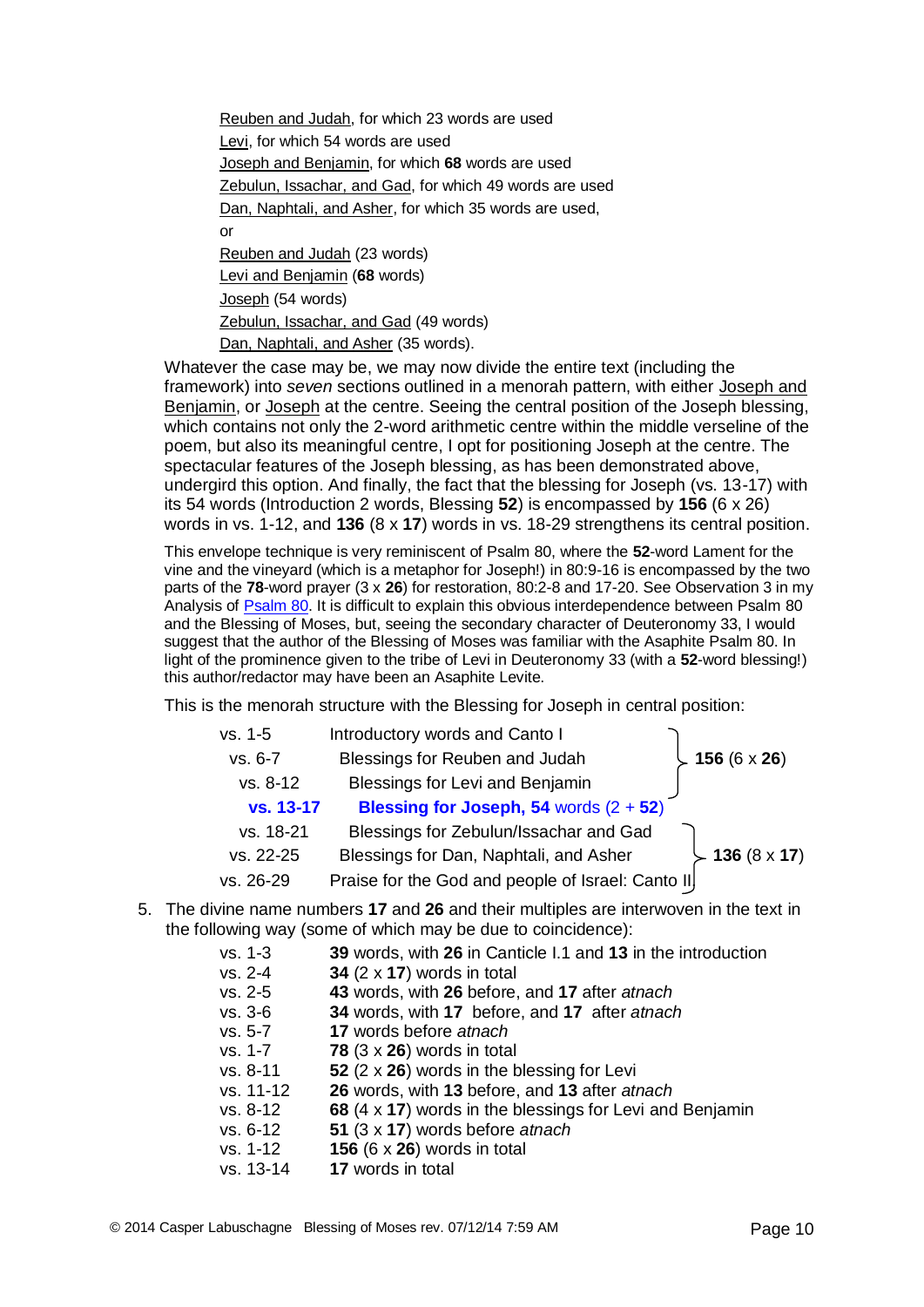Reuben and Judah, for which 23 words are used Levi, for which 54 words are used Joseph and Benjamin, for which **68** words are used Zebulun, Issachar, and Gad, for which 49 words are used Dan, Naphtali, and Asher, for which 35 words are used, or Reuben and Judah (23 words) Levi and Benjamin (**68** words) Joseph (54 words) Zebulun, Issachar, and Gad (49 words)

Dan, Naphtali, and Asher (35 words).

Whatever the case may be, we may now divide the entire text (including the framework) into *seven* sections outlined in a menorah pattern, with either Joseph and Benjamin, or Joseph at the centre. Seeing the central position of the Joseph blessing, which contains not only the 2-word arithmetic centre within the middle verseline of the poem, but also its meaningful centre, I opt for positioning Joseph at the centre. The spectacular features of the Joseph blessing, as has been demonstrated above, undergird this option. And finally, the fact that the blessing for Joseph (vs. 13-17) with its 54 words (Introduction 2 words, Blessing **52**) is encompassed by **156** (6 x 26) words in vs. 1-12, and **136** (8 x **17**) words in vs. 18-29 strengthens its central position.

This envelope technique is very reminiscent of Psalm 80, where the **52**-word Lament for the vine and the vineyard (which is a metaphor for Joseph!) in 80:9-16 is encompassed by the two parts of the **78**-word prayer (3 x **26**) for restoration, 80:2-8 and 17-20. See Observation 3 in my Analysis of [Psalm 80.](http://www.labuschagne.nl/ps080g.pdf) It is difficult to explain this obvious interdependence between Psalm 80 and the Blessing of Moses, but, seeing the secondary character of Deuteronomy 33, I would suggest that the author of the Blessing of Moses was familiar with the Asaphite Psalm 80. In light of the prominence given to the tribe of Levi in Deuteronomy 33 (with a **52**-word blessing!) this author/redactor may have been an Asaphite Levite.

This is the menorah structure with the Blessing for Joseph in central position:

| vs. 1-5   | Introductory words and Canto I                    |                     |
|-----------|---------------------------------------------------|---------------------|
| vs. 6-7   | Blessings for Reuben and Judah                    | 156 $(6 \times 26)$ |
| vs. 8-12  | Blessings for Levi and Benjamin                   |                     |
| vs. 13-17 | Blessing for Joseph, 54 words $(2 + 52)$          |                     |
| vs. 18-21 | Blessings for Zebulun/Issachar and Gad            |                     |
| vs. 22-25 | Blessings for Dan, Naphtali, and Asher            | 136 $(8 \times 17)$ |
| vs. 26-29 | Praise for the God and people of Israel: Canto II |                     |

5. The divine name numbers **17** and **26** and their multiples are interwoven in the text in the following way (some of which may be due to coincidence):

| $vs. 1-3$<br>$vs. 2-4$<br>$vs. 2-5$ | 39 words, with 26 in Canticle I.1 and 13 in the introduction<br>34 $(2 \times 17)$ words in total<br>43 words, with 26 before, and 17 after atnach |
|-------------------------------------|----------------------------------------------------------------------------------------------------------------------------------------------------|
| $vs. 3-6$                           | 34 words, with 17 before, and 17 after atnach                                                                                                      |
| $vs. 5-7$                           | 17 words before atnach                                                                                                                             |
| vs. 1-7                             | 78 $(3 \times 26)$ words in total                                                                                                                  |
| $vs. 8-11$                          | 52 $(2 \times 26)$ words in the blessing for Levi                                                                                                  |
| $vs. 11-12$                         | 26 words, with 13 before, and 13 after atnach                                                                                                      |
| $vs. 8-12$                          | 68 (4 x 17) words in the blessings for Levi and Benjamin                                                                                           |
| $vs. 6-12$                          | 51 (3 x 17) words before atnach                                                                                                                    |
| $vs. 1-12$                          | 156 $(6 \times 26)$ words in total                                                                                                                 |
| vs. 13-14                           | 17 words in total                                                                                                                                  |